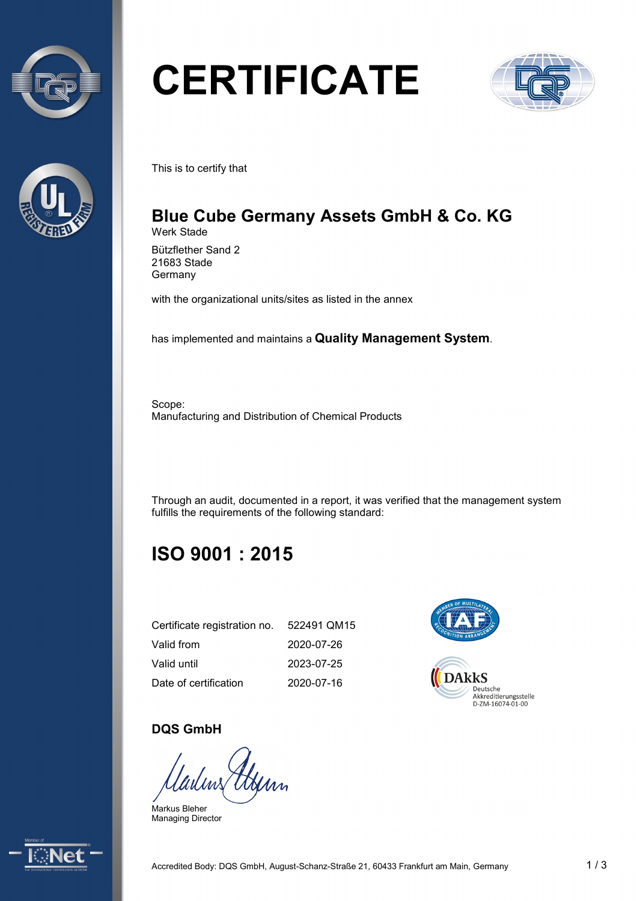



# **CERTIFICATE**



This is to certify that

## **Blue Cube Germany Assets GmbH & Co. KG** Werk Stade

Bützflether Sand 2 21683 Stade **Germany** 

with the organizational units/sites as listed in the annex

has implemented and maintains a **Quality Management System**.

Scope: Manufacturing and Distribution of Chemical Products

Through an audit, documented in a report, it was verified that the management system fulfills the requirements of the following standard:

## **ISO 9001 : 2015**

| Certificate registration no. | 522491 QM15 |
|------------------------------|-------------|
| Valid from                   | 2020-07-26  |
| Valid until                  | 2023-07-25  |
| Date of certification        | 2020-07-16  |



## **DQS GmbH**

Gerry

Markus Bleher Managing Director

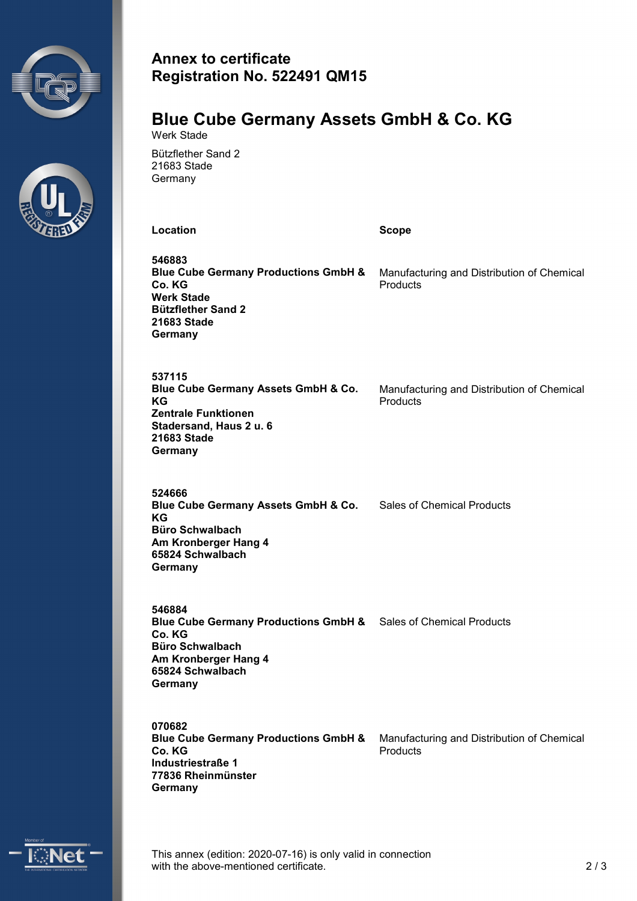



## **Annex to certificate Registration No. 522491 QM15**

#### **Blue Cube Germany Assets GmbH & Co. KG** Werk Stade

Bützflether Sand 2 21683 Stade **Germany** 

**Location Scope**

**546883 Blue Cube Germany Productions GmbH & Co. KG Werk Stade Bützflether Sand 2 21683 Stade Germany** Manufacturing and Distribution of Chemical **Products** 

**537115 Blue Cube Germany Assets GmbH & Co. KG Zentrale Funktionen Stadersand, Haus 2 u. 6 21683 Stade Germany**

Manufacturing and Distribution of Chemical **Products** 

**524666 Blue Cube Germany Assets GmbH & Co.** Sales of Chemical Products **KG Büro Schwalbach Am Kronberger Hang 4 65824 Schwalbach Germany**

**546884 Blue Cube Germany Productions GmbH &** Sales of Chemical Products **Co. KG Büro Schwalbach Am Kronberger Hang 4 65824 Schwalbach Germany**

**070682 Blue Cube Germany Productions GmbH & Co. KG Industriestraße 1 77836 Rheinmünster Germany** Manufacturing and Distribution of Chemical **Products** 



This annex (edition: 2020-07-16) is only valid in connection with the above-mentioned certificate. 2/3